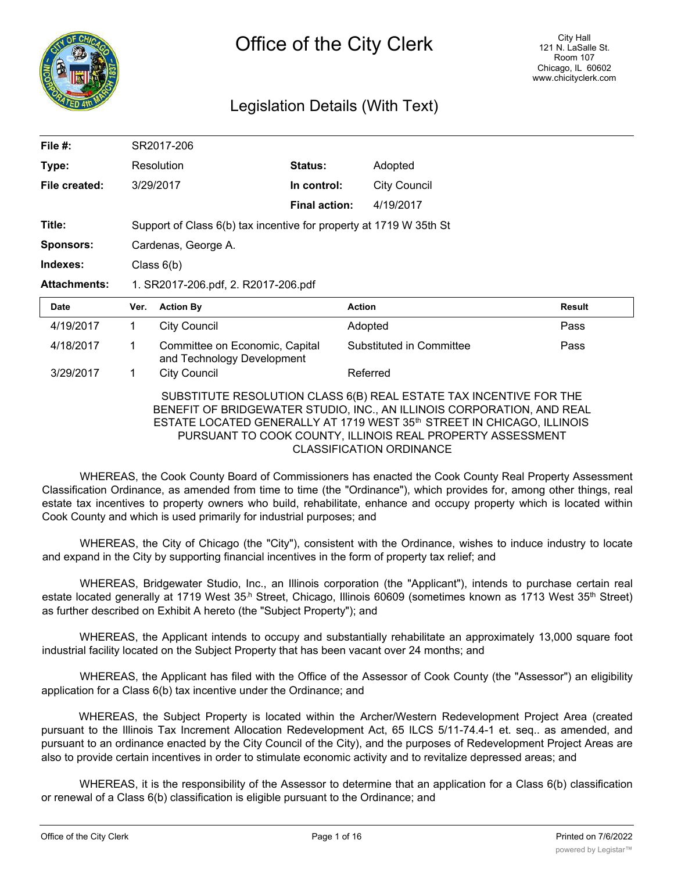

# Legislation Details (With Text)

| File $#$ :          |                                                                    | SR2017-206                                                   |                      |                                                                                                                                                                                                                                                                                                  |        |
|---------------------|--------------------------------------------------------------------|--------------------------------------------------------------|----------------------|--------------------------------------------------------------------------------------------------------------------------------------------------------------------------------------------------------------------------------------------------------------------------------------------------|--------|
| Type:               |                                                                    | Resolution                                                   | Status:              | Adopted                                                                                                                                                                                                                                                                                          |        |
| File created:       |                                                                    | 3/29/2017                                                    | In control:          | <b>City Council</b>                                                                                                                                                                                                                                                                              |        |
|                     |                                                                    |                                                              | <b>Final action:</b> | 4/19/2017                                                                                                                                                                                                                                                                                        |        |
| Title:              | Support of Class 6(b) tax incentive for property at 1719 W 35th St |                                                              |                      |                                                                                                                                                                                                                                                                                                  |        |
| Sponsors:           | Cardenas, George A.                                                |                                                              |                      |                                                                                                                                                                                                                                                                                                  |        |
| Indexes:            | Class $6(b)$                                                       |                                                              |                      |                                                                                                                                                                                                                                                                                                  |        |
| <b>Attachments:</b> | 1. SR2017-206.pdf, 2. R2017-206.pdf                                |                                                              |                      |                                                                                                                                                                                                                                                                                                  |        |
| Date                | Ver.                                                               | <b>Action By</b>                                             | <b>Action</b>        |                                                                                                                                                                                                                                                                                                  | Result |
| 4/19/2017           | 1                                                                  | <b>City Council</b>                                          |                      | Adopted                                                                                                                                                                                                                                                                                          | Pass   |
| 4/18/2017           | 1                                                                  | Committee on Economic, Capital<br>and Technology Development |                      | Substituted in Committee                                                                                                                                                                                                                                                                         | Pass   |
| 3/29/2017           | 1                                                                  | <b>City Council</b>                                          |                      | Referred                                                                                                                                                                                                                                                                                         |        |
|                     |                                                                    |                                                              |                      | SUBSTITUTE RESOLUTION CLASS 6(B) REAL ESTATE TAX INCENTIVE FOR THE<br>BENEFIT OF BRIDGEWATER STUDIO, INC., AN ILLINOIS CORPORATION, AND REAL<br>ESTATE LOCATED GENERALLY AT 1719 WEST 35 <sup>th</sup> STREET IN CHICAGO, ILLINOIS<br>PURSUANT TO COOK COUNTY, ILLINOIS REAL PROPERTY ASSESSMENT |        |

WHEREAS, the Cook County Board of Commissioners has enacted the Cook County Real Property Assessment Classification Ordinance, as amended from time to time (the "Ordinance"), which provides for, among other things, real estate tax incentives to property owners who build, rehabilitate, enhance and occupy property which is located within Cook County and which is used primarily for industrial purposes; and

WHEREAS, the City of Chicago (the "City"), consistent with the Ordinance, wishes to induce industry to locate and expand in the City by supporting financial incentives in the form of property tax relief; and

WHEREAS, Bridgewater Studio, Inc., an Illinois corporation (the "Applicant"), intends to purchase certain real estate located generally at 1719 West 35<sup>h</sup> Street, Chicago, Illinois 60609 (sometimes known as 1713 West 35<sup>th</sup> Street) as further described on Exhibit A hereto (the "Subject Property"); and

WHEREAS, the Applicant intends to occupy and substantially rehabilitate an approximately 13,000 square foot industrial facility located on the Subject Property that has been vacant over 24 months; and

WHEREAS, the Applicant has filed with the Office of the Assessor of Cook County (the "Assessor") an eligibility application for a Class 6(b) tax incentive under the Ordinance; and

WHEREAS, the Subject Property is located within the Archer/Western Redevelopment Project Area (created pursuant to the Illinois Tax Increment Allocation Redevelopment Act, 65 ILCS 5/11-74.4-1 et. seq.. as amended, and pursuant to an ordinance enacted by the City Council of the City), and the purposes of Redevelopment Project Areas are also to provide certain incentives in order to stimulate economic activity and to revitalize depressed areas; and

WHEREAS, it is the responsibility of the Assessor to determine that an application for a Class 6(b) classification or renewal of a Class 6(b) classification is eligible pursuant to the Ordinance; and

Whereas, the Ordinance requires that, in connection with the filing of a  $C$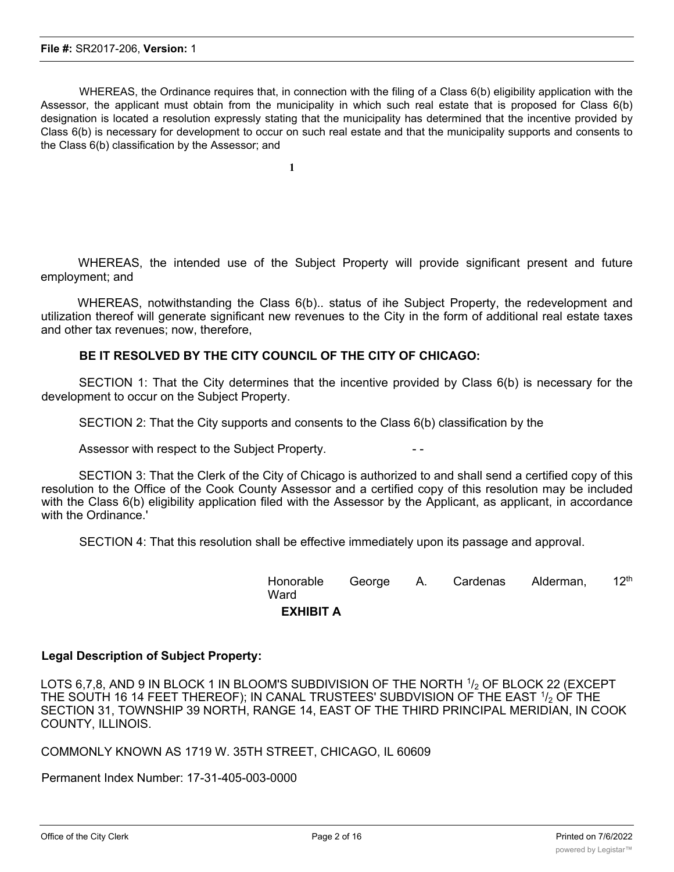WHEREAS, the Ordinance requires that, in connection with the filing of a Class 6(b) eligibility application with the Assessor, the applicant must obtain from the municipality in which such real estate that is proposed for Class 6(b) designation is located a resolution expressly stating that the municipality has determined that the incentive provided by Class 6(b) is necessary for development to occur on such real estate and that the municipality supports and consents to the Class 6(b) classification by the Assessor; and

WHEREAS, the intended use of the Subject Property will provide significant present and future employment; and

WHEREAS, notwithstanding the Class 6(b).. status of ihe Subject Property, the redevelopment and utilization thereof will generate significant new revenues to the City in the form of additional real estate taxes and other tax revenues; now, therefore,

# **BE IT RESOLVED BY THE CITY COUNCIL OF THE CITY OF CHICAGO:**

SECTION 1: That the City determines that the incentive provided by Class 6(b) is necessary for the development to occur on the Subject Property.

SECTION 2: That the City supports and consents to the Class 6(b) classification by the

Assessor with respect to the Subject Property.

SECTION 3: That the Clerk of the City of Chicago is authorized to and shall send a certified copy of this resolution to the Office of the Cook County Assessor and a certified copy of this resolution may be included with the Class 6(b) eligibility application filed with the Assessor by the Applicant, as applicant, in accordance with the Ordinance.'

SECTION 4: That this resolution shall be effective immediately upon its passage and approval.

| Honorable George A. Cardenas Alderman,<br>Ward |  |  | 12 <sup>th</sup> |
|------------------------------------------------|--|--|------------------|
| <b>EXHIBIT A</b>                               |  |  |                  |

# **Legal Description of Subject Property:**

LOTS 6,7,8, AND 9 IN BLOCK 1 IN BLOOM'S SUBDIVISION OF THE NORTH  $1/2$  OF BLOCK 22 (EXCEPT THE SOUTH 16 14 FEET THEREOF); IN CANAL TRUSTEES' SUBDVISION OF THE EAST  $1/2$  OF THE SECTION 31, TOWNSHIP 39 NORTH, RANGE 14, EAST OF THE THIRD PRINCIPAL MERIDIAN, IN COOK COUNTY, ILLINOIS.

COMMONLY KNOWN AS 1719 W. 35TH STREET, CHICAGO, IL 60609

Permanent Index Number: 17-31-405-003-0000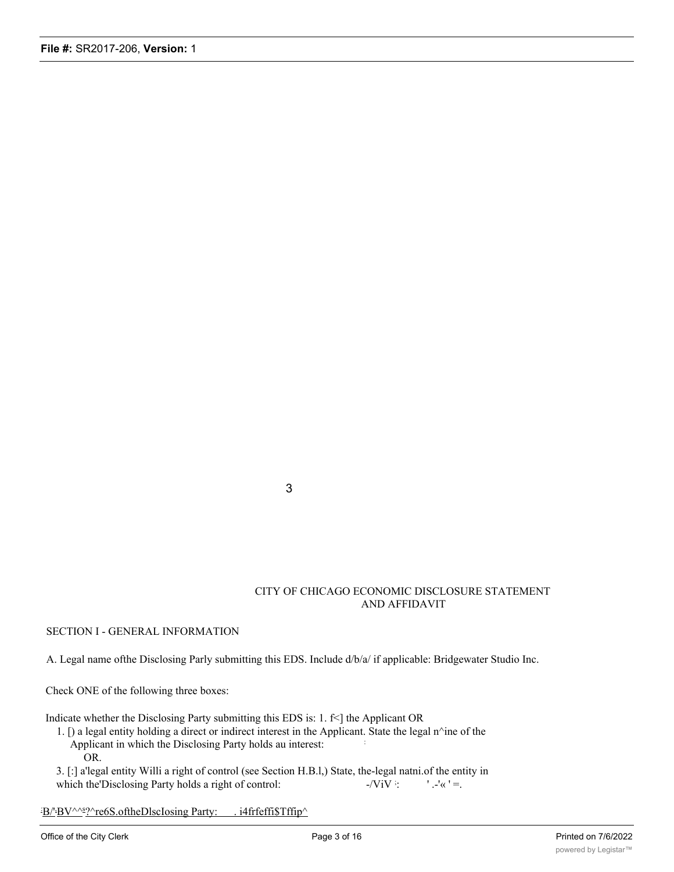3

### CITY OF CHICAGO ECONOMIC DISCLOSURE STATEMENT AND AFFIDAVIT

### SECTION I - GENERAL INFORMATION

A. Legal name ofthe Disclosing Parly submitting this EDS. Include d/b/a/ if applicable: Bridgewater Studio Inc.

Check ONE of the following three boxes:

Indicate whether the Disclosing Party submitting this EDS is:  $1. \text{fs}$  the Applicant OR

1. [) a legal entity holding a direct or indirect interest in the Applicant. State the legal  $n^{\wedge}$ ine of the Applicant in which the Disclosing Party holds au interest: : OR.

3. [:] a'legal entity Willi a right of control (see Section H.B.l,) State, the-legal natni.of the entity in which the Disclosing Party holds a right of control:  $-ViV$  :  $'$ .-'«  $'$  =.

B/'BV^^s?^re6S.oftheDlscIosing Party: . i4frfeffi\$Tffip^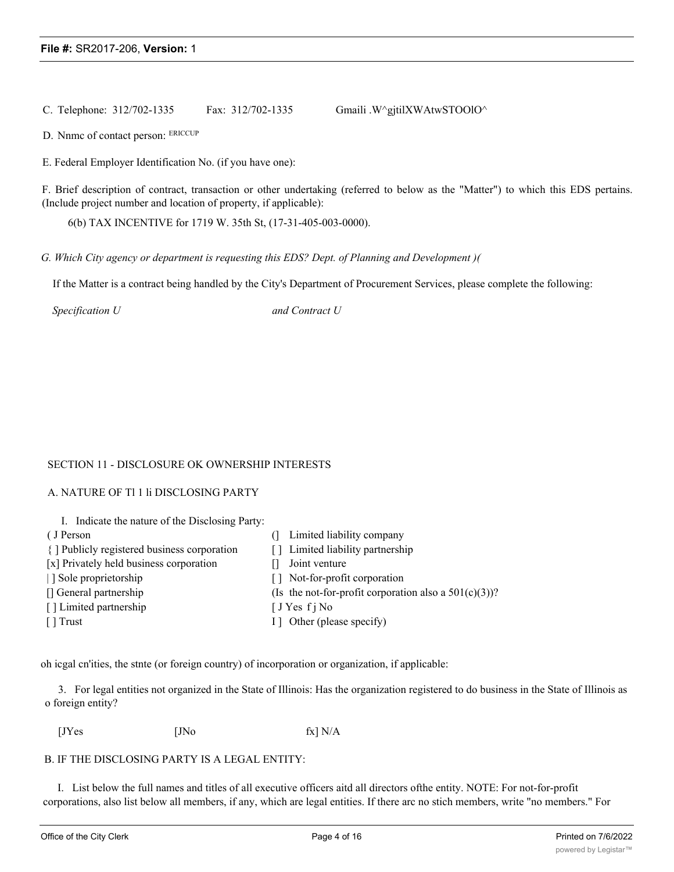C. Telephone:  $312/702-1335$  Fax:  $312/702-1335$  Gmaili .W^gjtilXWAtwSTOOlO^

D. Nnmc of contact person: ERICCUP

E. Federal Employer Identification No. (if you have one):

F. Brief description of contract, transaction or other undertaking (referred to below as the "Matter") to which this EDS pertains. (Include project number and location of property, if applicable):

6(b) TAX INCENTIVE for 1719 W. 35th St, (17-31-405-003-0000).

*G. Which City agency or department is requesting this EDS? Dept. of Planning and Development )(*

If the Matter is a contract being handled by the City's Department of Procurement Services, please complete the following:

*Specification U and Contract U*

### SECTION 11 - DISCLOSURE OK OWNERSHIP INTERESTS

### A. NATURE OF Tl 1 li DISCLOSING PARTY

| I. Indicate the nature of the Disclosing Party: |                                                          |
|-------------------------------------------------|----------------------------------------------------------|
| (J Person                                       | Limited liability company                                |
| { ] Publicly registered business corporation    | [] Limited liability partnership                         |
| [x] Privately held business corporation         | Joint venture                                            |
| Sole proprietorship                             | Not-for-profit corporation<br>l I                        |
| [] General partnership                          | (Is the not-for-profit corporation also a $501(c)(3)$ )? |
| [] Limited partnership                          | $\int JY$ es f j No                                      |
| [ ] Trust                                       | I ] Other (please specify)                               |

oh icgal cn'ities, the stnte (or foreign country) of incorporation or organization, if applicable:

3. For legal entities not organized in the State of Illinois: Has the organization registered to do business in the State of Illinois as o foreign entity?

 $[JYes$   $[JNo$   $fx] N/A$ 

### B. IF THE DISCLOSING PARTY IS A LEGAL ENTITY:

I. List below the full names and titles of all executive officers aitd all directors ofthe entity. NOTE: For not-for-profit corporations, also list below all members, if any, which are legal entities. If there arc no stich members, write "no members." For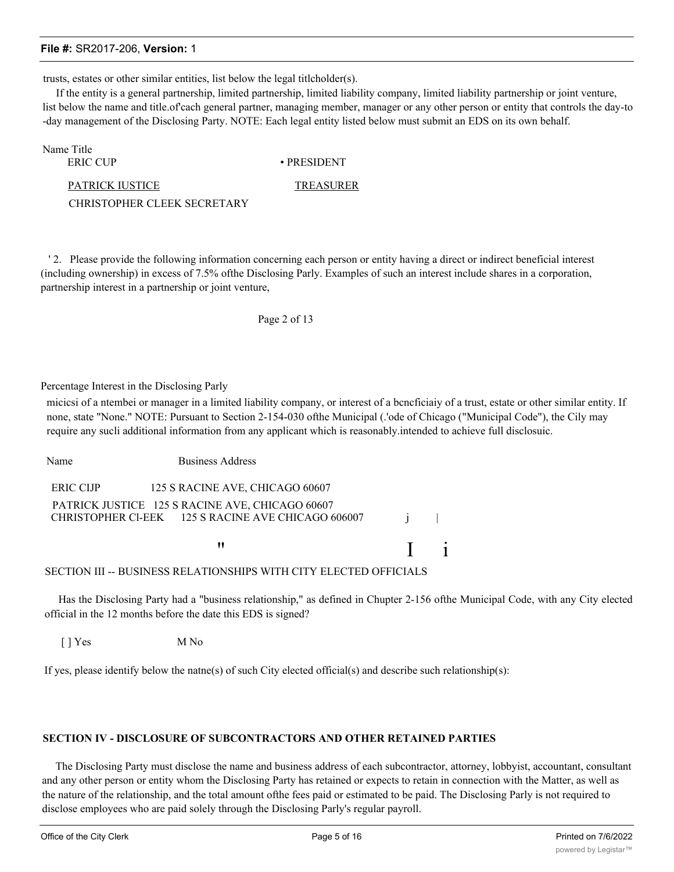trusts, estates or other similar entities, list below the legal titlcholder(s).

If the entity is a general partnership, limited partnership, limited liability company, limited liability partnership or joint venture, list below the name and title.of cach general partner, managing member, manager or any other person or entity that controls the day-to -day management of the Disclosing Party. NOTE: Each legal entity listed below must submit an EDS on its own behalf.

| Name Title                  |                   |
|-----------------------------|-------------------|
| ERIC CUP                    | $\cdot$ PRESIDENT |
| PATRICK IUSTICE             | TREASURER         |
| CHRISTOPHER CLEEK SECRETARY |                   |

' 2. Please provide the following information concerning each person or entity having a direct or indirect beneficial interest (including ownership) in excess of 7.5% ofthe Disclosing Parly. Examples of such an interest include shares in a corporation, partnership interest in a partnership or joint venture,

### Page 2 of 13

Percentage Interest in the Disclosing Parly

micicsi of a ntembei or manager in a limited liability company, or interest of a bcncficiaiy of a trust, estate or other similar entity. If none, state "None." NOTE: Pursuant to Section 2-154-030 ofthe Municipal (.'ode of Chicago ("Municipal Code"), the Cily may require any sucli additional information from any applicant which is reasonably.intended to achieve full disclosuic.

Name Business Address ERIC CIJP 125 S RACINE AVE, CHICAGO 60607 PATRICK JUSTICE 125 S RACINE AVE, CHICAGO 60607 CHRISTOPHER Cl-EEK 125 S RACINE AVE CHICAGO 606007 i  $\mathbf{I}$  i

### SECTION III -- BUSINESS RELATIONSHIPS WITH CITY ELECTED OFFICIALS

Has the Disclosing Party had a "business relationship," as defined in Chupter 2-156 ofthe Municipal Code, with any City elected official in the 12 months before the date this EDS is signed?

[ ] Yes M No

If yes, please identify below the natne(s) of such City elected official(s) and describe such relationship(s):

# **SECTION IV - DISCLOSURE OF SUBCONTRACTORS AND OTHER RETAINED PARTIES**

The Disclosing Party must disclose the name and business address of each subcontractor, attorney, lobbyist, accountant, consultant and any other person or entity whom the Disclosing Party has retained or expects to retain in connection with the Matter, as well as the nature of the relationship, and the total amount ofthe fees paid or estimated to be paid. The Disclosing Parly is not required to disclose employees who are paid solely through the Disclosing Parly's regular payroll.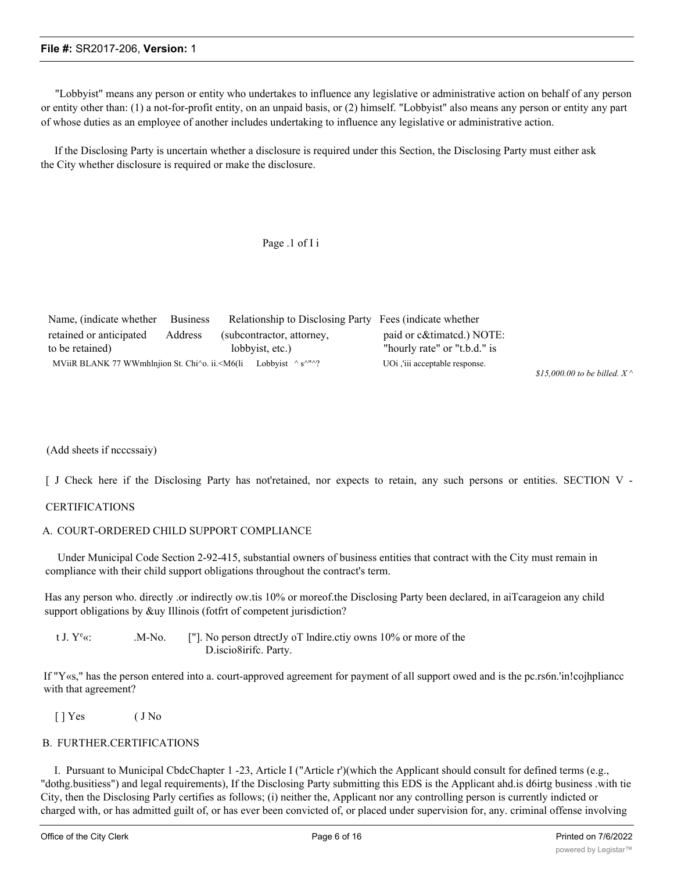"Lobbyist" means any person or entity who undertakes to influence any legislative or administrative action on behalf of any person or entity other than: (1) a not-for-profit entity, on an unpaid basis, or (2) himself. "Lobbyist" also means any person or entity any part of whose duties as an employee of another includes undertaking to influence any legislative or administrative action.

If the Disclosing Party is uncertain whether a disclosure is required under this Section, the Disclosing Party must either ask the City whether disclosure is required or make the disclosure.

# Page .1 of I i

| Name, (indicate whether Business                                                                                                           |         | Relationship to Disclosing Party Fees (indicate whether |                                |
|--------------------------------------------------------------------------------------------------------------------------------------------|---------|---------------------------------------------------------|--------------------------------|
| retained or anticipated                                                                                                                    | Address | (subcontractor, attorney,                               | paid or c&timated.) NOTE:      |
| to be retained)                                                                                                                            |         | lobbyist, etc.)                                         | "hourly rate" or "t.b.d." is   |
| MViiR BLANK 77 WWmhlnjion St. Chi $\degree$ o. ii. <m6(li <math="" lobbyist="">\degree s<math>\degree</math>"<math>\degree</math>?</m6(li> |         |                                                         | UOi ,'iii acceptable response. |

*\$15,000.00 to be billed. X ^*

(Add sheets if ncccssaiy)

[ J Check here if the Disclosing Party has not'retained, nor expects to retain, any such persons or entities. SECTION V -

### CERTIFICATIONS

### A. COURT-ORDERED CHILD SUPPORT COMPLIANCE

Under Municipal Code Section 2-92-415, substantial owners of business entities that contract with the City must remain in compliance with their child support obligations throughout the contract's term.

Has any person who. directly .or indirectly ow.tis 10% or moreof.the Disclosing Party been declared, in aiTcarageion any child support obligations by &uy Illinois (fotfrt of competent jurisdiction?

t J.  $Y^e$ «:  $\cdot$  M-No. ["]. No person dtrectly oT lndire.ctiy owns 10% or more of the D.iscio8irifc. Party.

If "Y«s," has the person entered into a. court-approved agreement for payment of all support owed and is the pc.rs6n.'in!cojhpliancc with that agreement?

[ ] Yes ( J No

### B. FURTHER.CERTIFICATIONS

t

I. Pursuant to Municipal CbdcChapter 1 -23, Article I ("Article r')(which the Applicant should consult for defined terms (e.g., "dothg.busitiess") and legal requirements), If the Disclosing Party submitting this EDS is the Applicant ahd.is d6irtg business .with tie City, then the Disclosing Parly certifies as follows; (i) neither the, Applicant nor any controlling person is currently indicted or charged with, or has admitted guilt of, or has ever been convicted of, or placed under supervision for, any. criminal offense involving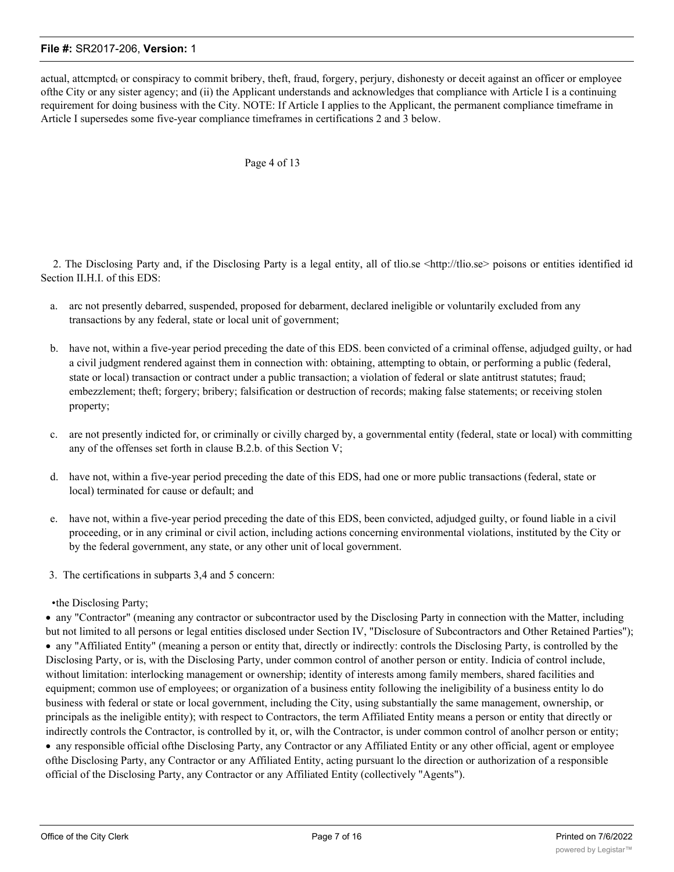actual, attcmptcd<sub>t</sub> or conspiracy to commit bribery, theft, fraud, forgery, perjury, dishonesty or deceit against an officer or employee ofthe City or any sister agency; and (ii) the Applicant understands and acknowledges that compliance with Article I is a continuing requirement for doing business with the City. NOTE: If Article I applies to the Applicant, the permanent compliance timeframe in Article I supersedes some five-year compliance timeframes in certifications 2 and 3 below.

### Page 4 of 13

2. The Disclosing Party and, if the Disclosing Party is a legal entity, all of thio.se <http://tlio.se> poisons or entities identified id Section II.H.I. of this EDS:

- a. arc not presently debarred, suspended, proposed for debarment, declared ineligible or voluntarily excluded from any transactions by any federal, state or local unit of government;
- b. have not, within a five-year period preceding the date of this EDS. been convicted of a criminal offense, adjudged guilty, or had a civil judgment rendered against them in connection with: obtaining, attempting to obtain, or performing a public (federal, state or local) transaction or contract under a public transaction; a violation of federal or slate antitrust statutes; fraud; embezzlement; theft; forgery; bribery; falsification or destruction of records; making false statements; or receiving stolen property;
- c. are not presently indicted for, or criminally or civilly charged by, a governmental entity (federal, state or local) with committing any of the offenses set forth in clause B.2.b. of this Section V;
- d. have not, within a five-year period preceding the date of this EDS, had one or more public transactions (federal, state or local) terminated for cause or default; and
- e. have not, within a five-year period preceding the date of this EDS, been convicted, adjudged guilty, or found liable in a civil proceeding, or in any criminal or civil action, including actions concerning environmental violations, instituted by the City or by the federal government, any state, or any other unit of local government.
- 3. The certifications in subparts 3,4 and 5 concern:
- •the Disclosing Party;

· any "Contractor" (meaning any contractor or subcontractor used by the Disclosing Party in connection with the Matter, including but not limited to all persons or legal entities disclosed under Section IV, "Disclosure of Subcontractors and Other Retained Parties"); · any "Affiliated Entity" (meaning a person or entity that, directly or indirectly: controls the Disclosing Party, is controlled by the Disclosing Party, or is, with the Disclosing Party, under common control of another person or entity. Indicia of control include, without limitation: interlocking management or ownership; identity of interests among family members, shared facilities and equipment; common use of employees; or organization of a business entity following the ineligibility of a business entity lo do business with federal or state or local government, including the City, using substantially the same management, ownership, or principals as the ineligible entity); with respect to Contractors, the term Affiliated Entity means a person or entity that directly or indirectly controls the Contractor, is controlled by it, or, wilh the Contractor, is under common control of anolhcr person or entity;

· any responsible official ofthe Disclosing Party, any Contractor or any Affiliated Entity or any other official, agent or employee ofthe Disclosing Party, any Contractor or any Affiliated Entity, acting pursuant lo the direction or authorization of a responsible official of the Disclosing Party, any Contractor or any Affiliated Entity (collectively "Agents").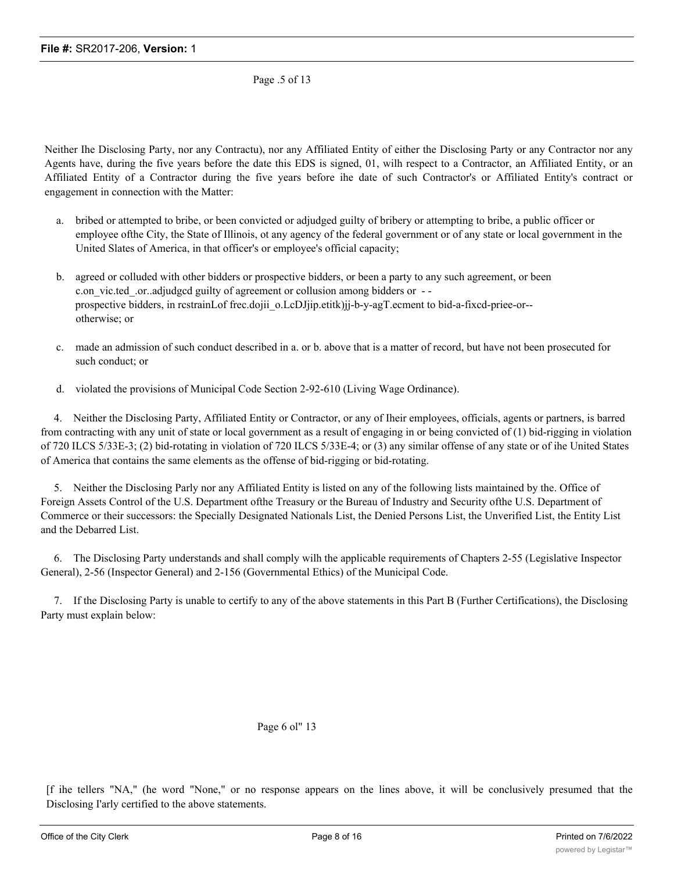Page .5 of 13

Neither Ihe Disclosing Party, nor any Contractu), nor any Affiliated Entity of either the Disclosing Party or any Contractor nor any Agents have, during the five years before the date this EDS is signed, 01, wilh respect to a Contractor, an Affiliated Entity, or an Affiliated Entity of a Contractor during the five years before ihe date of such Contractor's or Affiliated Entity's contract or engagement in connection with the Matter:

- a. bribed or attempted to bribe, or been convicted or adjudged guilty of bribery or attempting to bribe, a public officer or employee ofthe City, the State of Illinois, ot any agency of the federal government or of any state or local government in the United Slates of America, in that officer's or employee's official capacity;
- b. agreed or colluded with other bidders or prospective bidders, or been a party to any such agreement, or been c.on vic.ted .or..adjudgcd guilty of agreement or collusion among bidders or -prospective bidders, in rcstrainLof frec.dojii\_o.LcDJjip.etitk)jj-b-y-agT.ecment to bid-a-fixcd-priee-or-otherwise; or
- c. made an admission of such conduct described in a. or b. above that is a matter of record, but have not been prosecuted for such conduct; or
- d. violated the provisions of Municipal Code Section 2-92-610 (Living Wage Ordinance).

4. Neither the Disclosing Party, Affiliated Entity or Contractor, or any of Iheir employees, officials, agents or partners, is barred from contracting with any unit of state or local government as a result of engaging in or being convicted of (1) bid-rigging in violation of 720 ILCS 5/33E-3; (2) bid-rotating in violation of 720 ILCS 5/33E-4; or (3) any similar offense of any state or of ihe United States of America that contains the same elements as the offense of bid-rigging or bid-rotating.

5. Neither the Disclosing Parly nor any Affiliated Entity is listed on any of the following lists maintained by the. Office of Foreign Assets Control of the U.S. Department ofthe Treasury or the Bureau of Industry and Security ofthe U.S. Department of Commerce or their successors: the Specially Designated Nationals List, the Denied Persons List, the Unverified List, the Entity List and the Debarred List.

6. The Disclosing Party understands and shall comply wilh the applicable requirements of Chapters 2-55 (Legislative Inspector General), 2-56 (Inspector General) and 2-156 (Governmental Ethics) of the Municipal Code.

7. If the Disclosing Party is unable to certify to any of the above statements in this Part B (Further Certifications), the Disclosing Party must explain below:

# Page 6 ol" 13

[f ihe tellers "NA," (he word "None," or no response appears on the lines above, it will be conclusively presumed that the Disclosing I'arly certified to the above statements.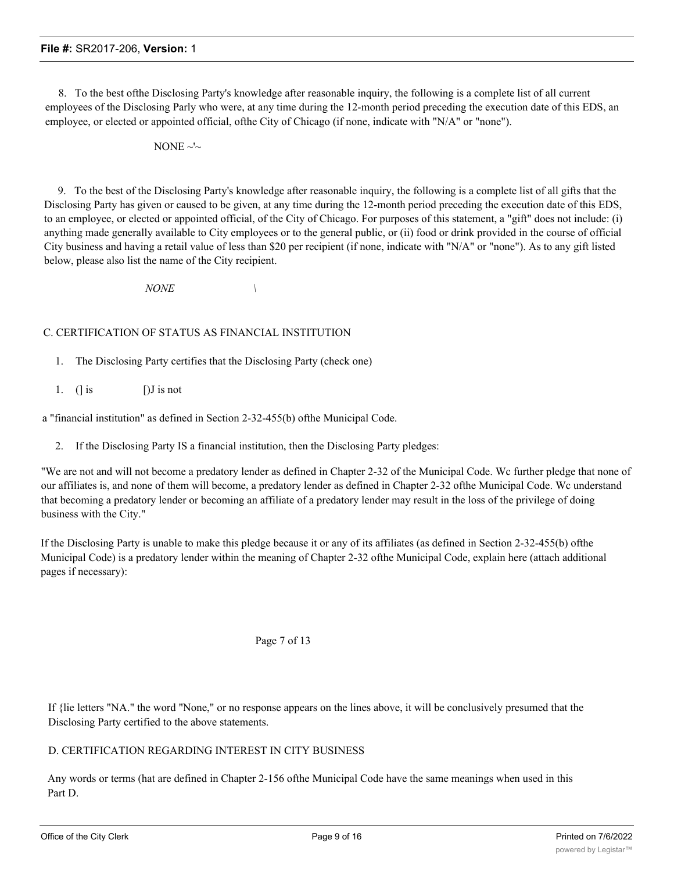8. To the best ofthe Disclosing Party's knowledge after reasonable inquiry, the following is a complete list of all current employees of the Disclosing Parly who were, at any time during the 12-month period preceding the execution date of this EDS, an employee, or elected or appointed official, ofthe City of Chicago (if none, indicate with "N/A" or "none").

NONE  $\sim$ 

9. To the best of the Disclosing Party's knowledge after reasonable inquiry, the following is a complete list of all gifts that the Disclosing Party has given or caused to be given, at any time during the 12-month period preceding the execution date of this EDS, to an employee, or elected or appointed official, of the City of Chicago. For purposes of this statement, a "gift" does not include: (i) anything made generally available to City employees or to the general public, or (ii) food or drink provided in the course of official City business and having a retail value of less than \$20 per recipient (if none, indicate with "N/A" or "none"). As to any gift listed below, please also list the name of the City recipient.

*NONE \*

# C. CERTIFICATION OF STATUS AS FINANCIAL INSTITUTION

- 1. The Disclosing Party certifies that the Disclosing Party (check one)
- 1. (] is  $[J]$  is not

a "financial institution" as defined in Section 2-32-455(b) ofthe Municipal Code.

2. If the Disclosing Party IS a financial institution, then the Disclosing Party pledges:

"We are not and will not become a predatory lender as defined in Chapter 2-32 of the Municipal Code. Wc further pledge that none of our affiliates is, and none of them will become, a predatory lender as defined in Chapter 2-32 ofthe Municipal Code. Wc understand that becoming a predatory lender or becoming an affiliate of a predatory lender may result in the loss of the privilege of doing business with the City."

If the Disclosing Party is unable to make this pledge because it or any of its affiliates (as defined in Section 2-32-455(b) ofthe Municipal Code) is a predatory lender within the meaning of Chapter 2-32 ofthe Municipal Code, explain here (attach additional pages if necessary):

Page 7 of 13

If {lie letters "NA." the word "None," or no response appears on the lines above, it will be conclusively presumed that the Disclosing Party certified to the above statements.

# D. CERTIFICATION REGARDING INTEREST IN CITY BUSINESS

Any words or terms (hat are defined in Chapter 2-156 ofthe Municipal Code have the same meanings when used in this Part D.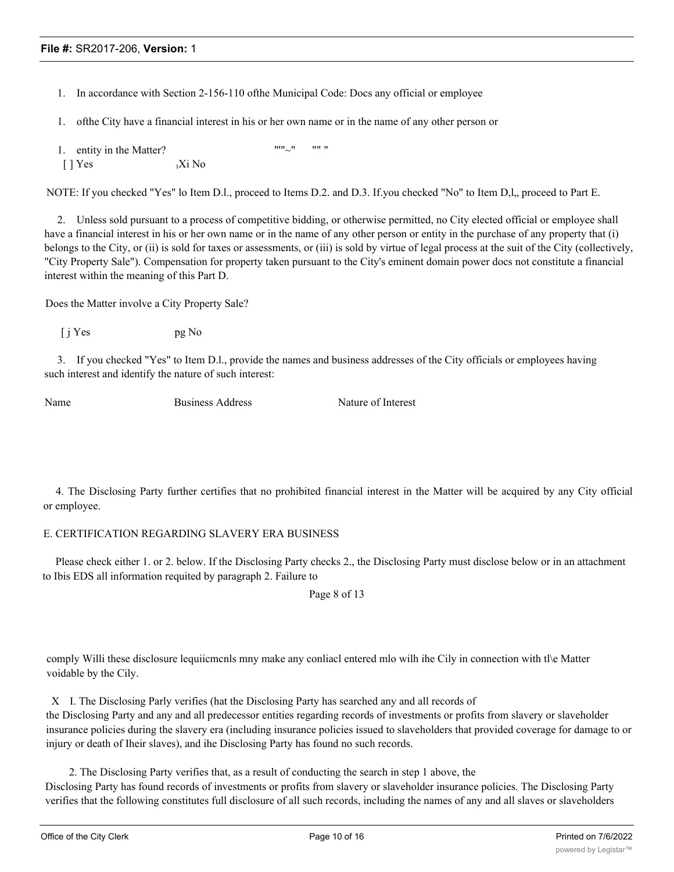- 1. In accordance with Section 2-156-110 ofthe Municipal Code: Docs any official or employee
- 1. ofthe City have a financial interest in his or her own name or in the name of any other person or
- 1. entity in the Matter?  $\mathbb{I}$  "" $\mathbb{I}$ " "" ""  $[ ]$  Yes  ${}_{t}Xi$  No

NOTE: If you checked "Yes" lo Item D.l., proceed to Items D.2. and D.3. If you checked "No" to Item D, l, proceed to Part E.

2. Unless sold pursuant to a process of competitive bidding, or otherwise permitted, no City elected official or employee shall have a financial interest in his or her own name or in the name of any other person or entity in the purchase of any property that (i) belongs to the City, or (ii) is sold for taxes or assessments, or (iii) is sold by virtue of legal process at the suit of the City (collectively, "City Property Sale"). Compensation for property taken pursuant to the City's eminent domain power docs not constitute a financial interest within the meaning of this Part D.

Does the Matter involve a City Property Sale?

 $[i] Yes$  pg No

3. If you checked "Yes" to Item D.l., provide the names and business addresses of the City officials or employees having such interest and identify the nature of such interest:

Name Business Address Nature of Interest

4. The Disclosing Party further certifies that no prohibited financial interest in the Matter will be acquired by any City official or employee.

# E. CERTIFICATION REGARDING SLAVERY ERA BUSINESS

Please check either 1. or 2. below. If the Disclosing Party checks 2., the Disclosing Party must disclose below or in an attachment to Ibis EDS all information requited by paragraph 2. Failure to

Page 8 of 13

comply Willi these disclosure lequiicmcnls mny make any conliacl entered mlo wilh ihe Cily in connection with tl\e Matter voidable by the Cily.

X I. The Disclosing Parly verifies (hat the Disclosing Party has searched any and all records of the Disclosing Party and any and all predecessor entities regarding records of investments or profits from slavery or slaveholder insurance policies during the slavery era (including insurance policies issued to slaveholders that provided coverage for damage to or injury or death of Iheir slaves), and ihe Disclosing Party has found no such records.

2. The Disclosing Party verifies that, as a result of conducting the search in step 1 above, the Disclosing Party has found records of investments or profits from slavery or slaveholder insurance policies. The Disclosing Party verifies that the following constitutes full disclosure of all such records, including the names of any and all slaves or slaveholders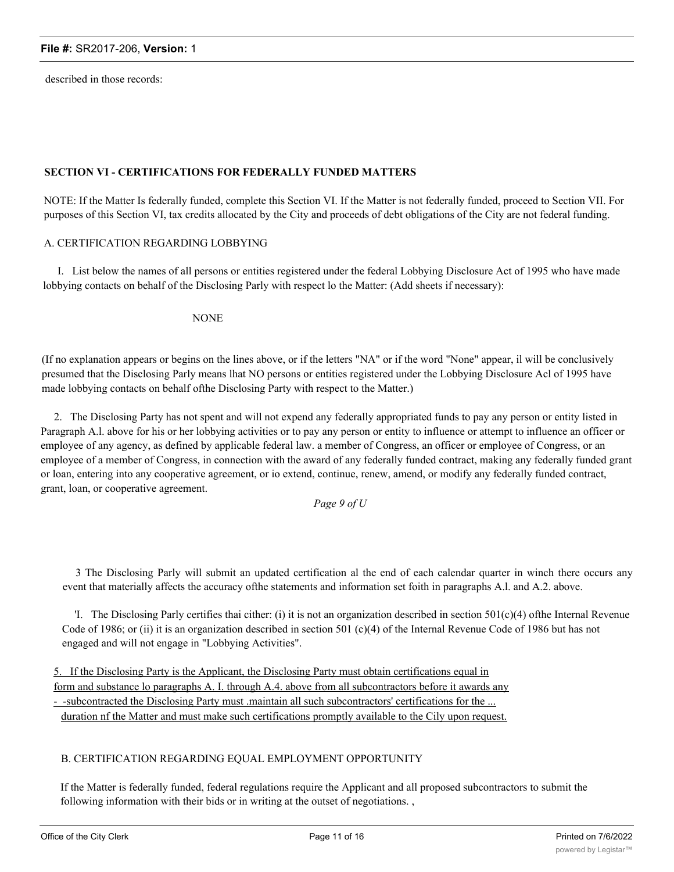described in those records:

# **SECTION VI - CERTIFICATIONS FOR FEDERALLY FUNDED MATTERS**

NOTE: If the Matter Is federally funded, complete this Section VI. If the Matter is not federally funded, proceed to Section VII. For purposes of this Section VI, tax credits allocated by the City and proceeds of debt obligations of the City are not federal funding.

### A. CERTIFICATION REGARDING LOBBYING

I. List below the names of all persons or entities registered under the federal Lobbying Disclosure Act of 1995 who have made lobbying contacts on behalf of the Disclosing Parly with respect lo the Matter: (Add sheets if necessary):

NONE

(If no explanation appears or begins on the lines above, or if the letters "NA" or if the word "None" appear, il will be conclusively presumed that the Disclosing Parly means lhat NO persons or entities registered under the Lobbying Disclosure Acl of 1995 have made lobbying contacts on behalf ofthe Disclosing Party with respect to the Matter.)

2. The Disclosing Party has not spent and will not expend any federally appropriated funds to pay any person or entity listed in Paragraph A.l. above for his or her lobbying activities or to pay any person or entity to influence or attempt to influence an officer or employee of any agency, as defined by applicable federal law. a member of Congress, an officer or employee of Congress, or an employee of a member of Congress, in connection with the award of any federally funded contract, making any federally funded grant or loan, entering into any cooperative agreement, or io extend, continue, renew, amend, or modify any federally funded contract, grant, loan, or cooperative agreement.

*Page 9 of U*

3 The Disclosing Parly will submit an updated certification al the end of each calendar quarter in winch there occurs any event that materially affects the accuracy ofthe statements and information set foith in paragraphs A.l. and A.2. above.

'I. The Disclosing Parly certifies thai cither: (i) it is not an organization described in section  $501(c)(4)$  ofthe Internal Revenue Code of 1986; or (ii) it is an organization described in section 501 (c)(4) of the Internal Revenue Code of 1986 but has not engaged and will not engage in "Lobbying Activities".

5. If the Disclosing Party is the Applicant, the Disclosing Party must obtain certifications equal in form and substance lo paragraphs A. I. through A.4. above from all subcontractors before it awards any - -subcontracted the Disclosing Party must .maintain all such subcontractors' certifications for the ... duration nf the Matter and must make such certifications promptly available to the Cily upon request.

### B. CERTIFICATION REGARDING EQUAL EMPLOYMENT OPPORTUNITY

If the Matter is federally funded, federal regulations require the Applicant and all proposed subcontractors to submit the following information with their bids or in writing at the outset of negotiations. ,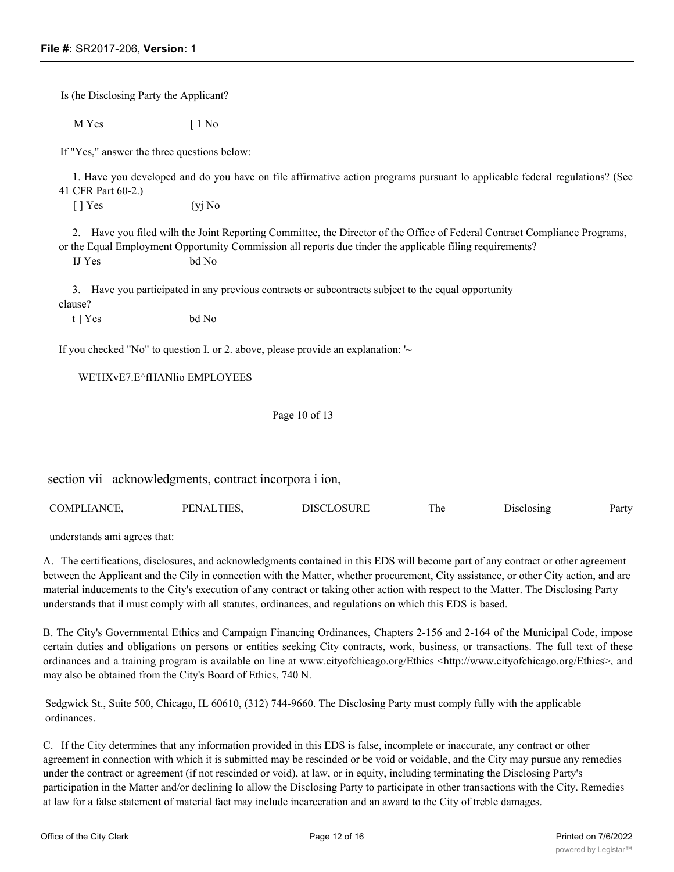Is (he Disclosing Party the Applicant?

M Yes [ 1 No

If "Yes," answer the three questions below:

1. Have you developed and do you have on file affirmative action programs pursuant lo applicable federal regulations? (See 41 CFR Part 60-2.)

 $[ ]$  Yes  $\{yi \space No$ 

2. Have you filed wilh the Joint Reporting Committee, the Director of the Office of Federal Contract Compliance Programs, or the Equal Employment Opportunity Commission all reports due tinder the applicable filing requirements?

IJ Yes bd No

3. Have you participated in any previous contracts or subcontracts subject to the equal opportunity

clause?

t ] Yes bd No

If you checked "No" to question I. or 2. above, please provide an explanation: '~

WE'HXvE7.E^fHANlio EMPLOYEES

Page 10 of 13

section vii acknowledgments, contract incorpora i ion,

| COMPLIANCE. | PENALTIES. | DISCLOSURE | . he | Jisclosing | Party |
|-------------|------------|------------|------|------------|-------|
|-------------|------------|------------|------|------------|-------|

understands ami agrees that:

A. The certifications, disclosures, and acknowledgments contained in this EDS will become part of any contract or other agreement between the Applicant and the Cily in connection with the Matter, whether procurement, City assistance, or other City action, and are material inducements to the City's execution of any contract or taking other action with respect to the Matter. The Disclosing Party understands that il must comply with all statutes, ordinances, and regulations on which this EDS is based.

B. The City's Governmental Ethics and Campaign Financing Ordinances, Chapters 2-156 and 2-164 of the Municipal Code, impose certain duties and obligations on persons or entities seeking City contracts, work, business, or transactions. The full text of these ordinances and a training program is available on line at www.cityofchicago.org/Ethics <http://www.cityofchicago.org/Ethics>, and may also be obtained from the City's Board of Ethics, 740 N.

Sedgwick St., Suite 500, Chicago, IL 60610, (312) 744-9660. The Disclosing Party must comply fully with the applicable ordinances.

C. If the City determines that any information provided in this EDS is false, incomplete or inaccurate, any contract or other agreement in connection with which it is submitted may be rescinded or be void or voidable, and the City may pursue any remedies under the contract or agreement (if not rescinded or void), at law, or in equity, including terminating the Disclosing Party's participation in the Matter and/or declining lo allow the Disclosing Party to participate in other transactions with the City. Remedies at law for a false statement of material fact may include incarceration and an award to the City of treble damages.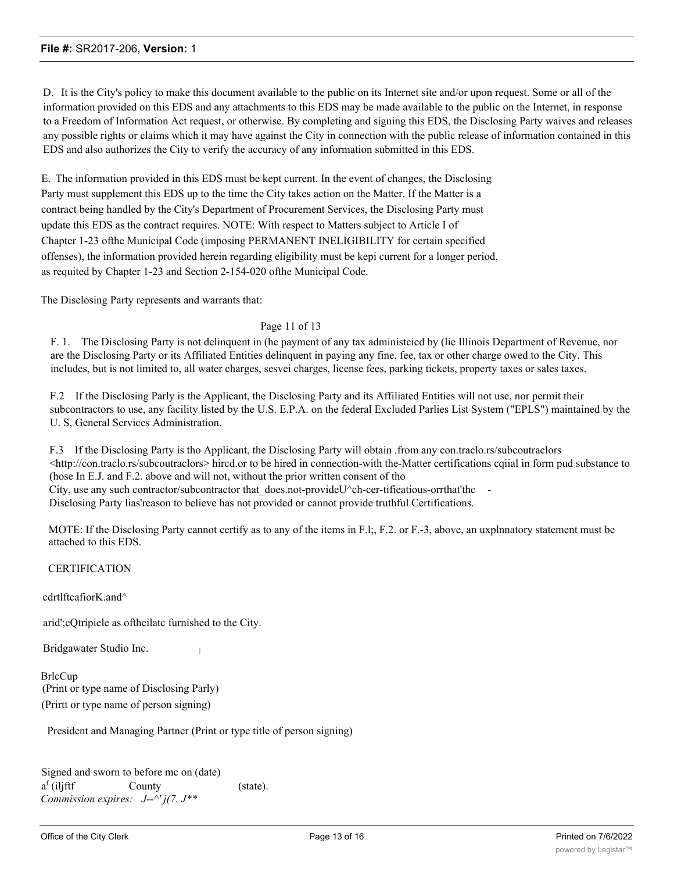D. It is the City's policy to make this document available to the public on its Internet site and/or upon request. Some or all of the information provided on this EDS and any attachments to this EDS may be made available to the public on the Internet, in response to a Freedom of Information Act request, or otherwise. By completing and signing this EDS, the Disclosing Party waives and releases any possible rights or claims which it may have against the City in connection with the public release of information contained in this EDS and also authorizes the City to verify the accuracy of any information submitted in this EDS.

E. The information provided in this EDS must be kept current. In the event of changes, the Disclosing Party must supplement this EDS up to the time the City takes action on the Matter. If the Matter is a contract being handled by the City's Department of Procurement Services, the Disclosing Party must update this EDS as the contract requires. NOTE: With respect to Matters subject to Article I of Chapter 1-23 ofthe Municipal Code (imposing PERMANENT INELIGIBILITY for certain specified offenses), the information provided herein regarding eligibility must be kepi current for a longer period, as requited by Chapter 1-23 and Section 2-154-020 ofthe Municipal Code.

The Disclosing Party represents and warrants that:

### Page 11 of 13

F. 1. The Disclosing Party is not delinquent in (he payment of any tax administcicd by (lie Illinois Department of Revenue, nor are the Disclosing Party or its Affiliated Entities delinquent in paying any fine, fee, tax or other charge owed to the City. This includes, but is not limited to, all water charges, sesvei charges, license fees, parking tickets, property taxes or sales taxes.

F.2 If the Disclosing Parly is the Applicant, the Disclosing Party and its Affiliated Entities will not use, nor permit their subcontractors to use, any facility listed by the U.S. E.P.A. on the federal Excluded Parlies List System ("EPLS") maintained by the U. S, General Services Administration.

F.3 If the Disclosing Party is tho Applicant, the Disclosing Party will obtain .from any con.traclo.rs/subcoutraclors <http://con.traclo.rs/subcoutraclors> hircd.or to be hired in connection-with the-Matter certifications cqiial in form pud substance to (hose In E.J. and F.2. above and will not, without the prior written consent of tho City, use any such contractor/subcontractor that does.not-provideU^ch-cer-tifieatious-orrthat'thc Disclosing Party lias'reason to believe has not provided or cannot provide truthful Certifications.

MOTE: If the Disclosing Party cannot certify as to any of the items in F.l;, F.2. or F.-3, above, an uxplnnatory statement must be attached to this EDS.

**CERTIFICATION** 

cdrtlftcafiorK.and^

arid';cQtripiele as oftheilatc furnished to the City.

Bridgawater Studio Inc. <sup>|</sup>

**BrlcCup** (Print or type name of Disclosing Parly) (Prirtt or type name of person signing)

President and Managing Partner (Print or type title of person signing)

Signed and sworn to before mc on (date)  $a<sup>f</sup>$  (iliftf County (state). *Commission expires: J--^' j(7. J\*\**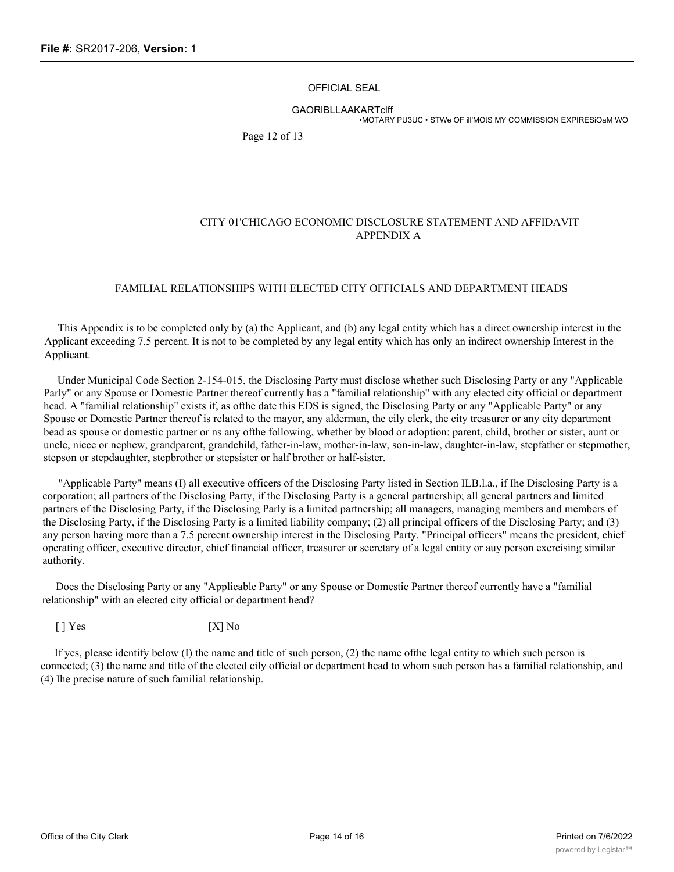### OFFICIAL SEAL

GAORlBLLAAKARTclff

•MOTARY PU3UC • STWe OF ill'MOtS MY COMMISSION EXPIRESiOaM WO

Page 12 of 13

# CITY 01'CHICAGO ECONOMIC DISCLOSURE STATEMENT AND AFFIDAVIT APPENDIX A

# FAMILIAL RELATIONSHIPS WITH ELECTED CITY OFFICIALS AND DEPARTMENT HEADS

This Appendix is to be completed only by (a) the Applicant, and (b) any legal entity which has a direct ownership interest iu the Applicant exceeding 7.5 percent. It is not to be completed by any legal entity which has only an indirect ownership Interest in the Applicant.

Under Municipal Code Section 2-154-015, the Disclosing Party must disclose whether such Disclosing Party or any "Applicable Parly" or any Spouse or Domestic Partner thereof currently has a "familial relationship" with any elected city official or department head. A "familial relationship" exists if, as ofthe date this EDS is signed, the Disclosing Party or any "Applicable Party" or any Spouse or Domestic Partner thereof is related to the mayor, any alderman, the cily clerk, the city treasurer or any city department bead as spouse or domestic partner or ns any ofthe following, whether by blood or adoption: parent, child, brother or sister, aunt or uncle, niece or nephew, grandparent, grandchild, father-in-law, mother-in-law, son-in-law, daughter-in-law, stepfather or stepmother, stepson or stepdaughter, stepbrother or stepsister or half brother or half-sister.

"Applicable Party" means (I) all executive officers of the Disclosing Party listed in Section ILB.l.a., if Ihe Disclosing Party is a corporation; all partners of the Disclosing Party, if the Disclosing Party is a general partnership; all general partners and limited partners of the Disclosing Party, if the Disclosing Parly is a limited partnership; all managers, managing members and members of the Disclosing Party, if the Disclosing Party is a limited liability company; (2) all principal officers of the Disclosing Party; and (3) any person having more than a 7.5 percent ownership interest in the Disclosing Party. "Principal officers" means the president, chief operating officer, executive director, chief financial officer, treasurer or secretary of a legal entity or auy person exercising similar authority.

Does the Disclosing Party or any "Applicable Party" or any Spouse or Domestic Partner thereof currently have a "familial relationship" with an elected city official or department head?

[ ] Yes [X] No

If yes, please identify below (I) the name and title of such person, (2) the name ofthe legal entity to which such person is connected; (3) the name and title of the elected cily official or department head to whom such person has a familial relationship, and (4) Ihe precise nature of such familial relationship.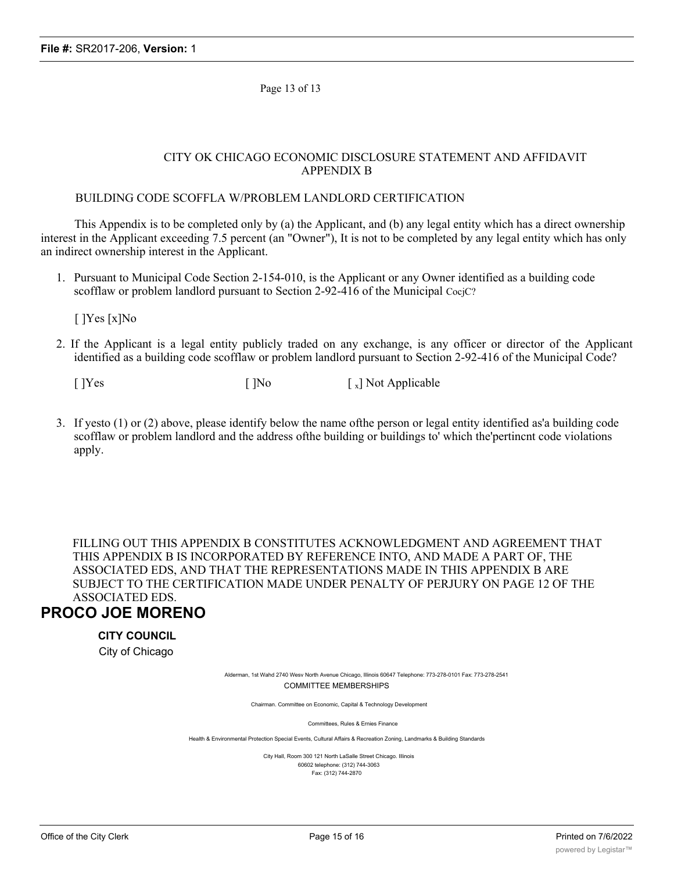Page 13 of 13

# CITY OK CHICAGO ECONOMIC DISCLOSURE STATEMENT AND AFFIDAVIT APPENDIX B

# BUILDING CODE SCOFFLA W/PROBLEM LANDLORD CERTIFICATION

This Appendix is to be completed only by (a) the Applicant, and (b) any legal entity which has a direct ownership interest in the Applicant exceeding 7.5 percent (an "Owner"), It is not to be completed by any legal entity which has only an indirect ownership interest in the Applicant.

1. Pursuant to Municipal Code Section 2-154-010, is the Applicant or any Owner identified as a building code scofflaw or problem landlord pursuant to Section 2-92-416 of the Municipal CocjC?

[ ]Yes [x]No

2. If the Applicant is a legal entity publicly traded on any exchange, is any officer or director of the Applicant identified as a building code scofflaw or problem landlord pursuant to Section 2-92-416 of the Municipal Code?

 $[$   $]$ Yes  $[$   $]$ No  $[$   $]$ Not Applicable

3. If yesto (1) or (2) above, please identify below the name ofthe person or legal entity identified as'a building code scofflaw or problem landlord and the address ofthe building or buildings to' which the'pertincnt code violations apply.

FILLING OUT THIS APPENDIX B CONSTITUTES ACKNOWLEDGMENT AND AGREEMENT THAT THIS APPENDIX B IS INCORPORATED BY REFERENCE INTO, AND MADE A PART OF, THE ASSOCIATED EDS, AND THAT THE REPRESENTATIONS MADE IN THIS APPENDIX B ARE SUBJECT TO THE CERTIFICATION MADE UNDER PENALTY OF PERJURY ON PAGE 12 OF THE ASSOCIATED EDS.

# **PROCO JOE MORENO**

# **CITY COUNCIL**

City of Chicago

Alderman, 1st Wahd 2740 Wesv North Avenue Chicago, Illinois 60647 Telephone: 773-278-0101 Fax: 773-278-2541 COMMITTEE MEMBERSHIPS

Chairman. Committee on Economic, Capital & Technology Development

Committees, Rules & Ernies Finance

Health & Environmental Protection Special Events, Cultural Affairs & Recreation Zoning, Landmarks & Building Standards

City Hall, Room 300 121 North LaSalle Street Chicago. Illinois 60602 telephone: (312) 744-3063 Fax: (312) 744-2870